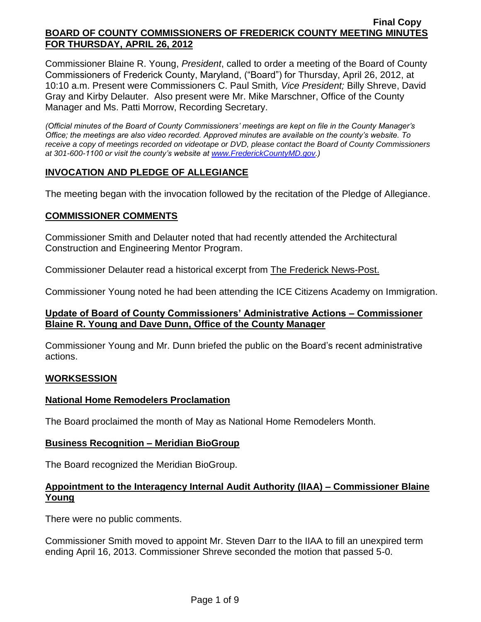Commissioner Blaine R. Young, *President*, called to order a meeting of the Board of County Commissioners of Frederick County, Maryland, ("Board") for Thursday, April 26, 2012, at 10:10 a.m. Present were Commissioners C. Paul Smith*, Vice President;* Billy Shreve, David Gray and Kirby Delauter. Also present were Mr. Mike Marschner, Office of the County Manager and Ms. Patti Morrow, Recording Secretary.

*(Official minutes of the Board of County Commissioners' meetings are kept on file in the County Manager's Office; the meetings are also video recorded. Approved minutes are available on the county's website. To receive a copy of meetings recorded on videotape or DVD, please contact the Board of County Commissioners at 301-600-1100 or visit the county's website at [www.FrederickCountyMD.gov.](http://www.frederickcountymd.gov/))*

# **INVOCATION AND PLEDGE OF ALLEGIANCE**

The meeting began with the invocation followed by the recitation of the Pledge of Allegiance.

# **COMMISSIONER COMMENTS**

Commissioner Smith and Delauter noted that had recently attended the Architectural Construction and Engineering Mentor Program.

Commissioner Delauter read a historical excerpt from The Frederick News-Post.

Commissioner Young noted he had been attending the ICE Citizens Academy on Immigration.

# **Update of Board of County Commissioners' Administrative Actions – Commissioner Blaine R. Young and Dave Dunn, Office of the County Manager**

Commissioner Young and Mr. Dunn briefed the public on the Board's recent administrative actions.

#### **WORKSESSION**

# **National Home Remodelers Proclamation**

The Board proclaimed the month of May as National Home Remodelers Month.

#### **Business Recognition – Meridian BioGroup**

The Board recognized the Meridian BioGroup.

# **Appointment to the Interagency Internal Audit Authority (IIAA) – Commissioner Blaine Young**

There were no public comments.

Commissioner Smith moved to appoint Mr. Steven Darr to the IIAA to fill an unexpired term ending April 16, 2013. Commissioner Shreve seconded the motion that passed 5-0.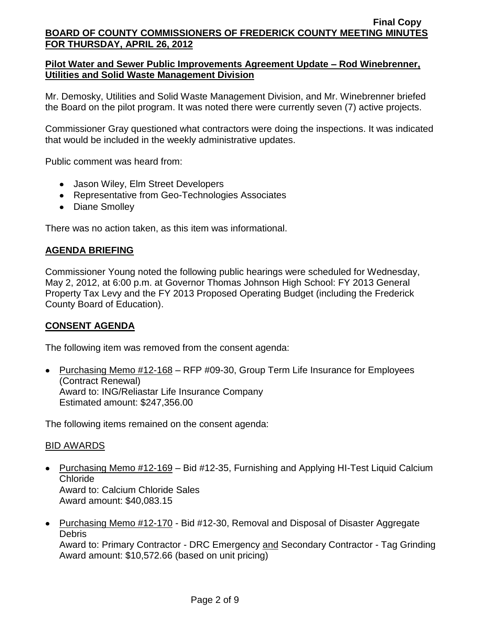# **Pilot Water and Sewer Public Improvements Agreement Update – Rod Winebrenner, Utilities and Solid Waste Management Division**

Mr. Demosky, Utilities and Solid Waste Management Division, and Mr. Winebrenner briefed the Board on the pilot program. It was noted there were currently seven (7) active projects.

Commissioner Gray questioned what contractors were doing the inspections. It was indicated that would be included in the weekly administrative updates.

Public comment was heard from:

- Jason Wiley, Elm Street Developers
- Representative from Geo-Technologies Associates
- Diane Smolley

There was no action taken, as this item was informational.

# **AGENDA BRIEFING**

Commissioner Young noted the following public hearings were scheduled for Wednesday, May 2, 2012, at 6:00 p.m. at Governor Thomas Johnson High School: FY 2013 General Property Tax Levy and the FY 2013 Proposed Operating Budget (including the Frederick County Board of Education).

# **CONSENT AGENDA**

The following item was removed from the consent agenda:

• Purchasing Memo #12-168 – RFP #09-30, Group Term Life Insurance for Employees (Contract Renewal) Award to: ING/Reliastar Life Insurance Company Estimated amount: \$247,356.00

The following items remained on the consent agenda:

# BID AWARDS

- Purchasing Memo #12-169 Bid #12-35, Furnishing and Applying HI-Test Liquid Calcium Chloride Award to: Calcium Chloride Sales Award amount: \$40,083.15
- Purchasing Memo #12-170 Bid #12-30, Removal and Disposal of Disaster Aggregate **Debris**

Award to: Primary Contractor - DRC Emergency and Secondary Contractor - Tag Grinding Award amount: \$10,572.66 (based on unit pricing)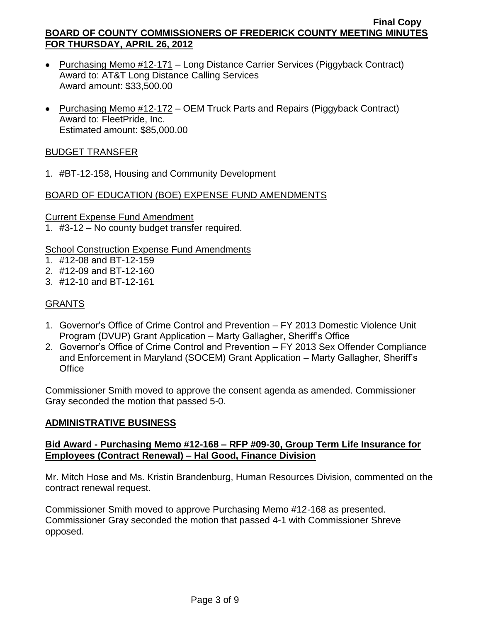- Purchasing Memo #12-171 Long Distance Carrier Services (Piggyback Contract) Award to: AT&T Long Distance Calling Services Award amount: \$33,500.00
- Purchasing Memo #12-172 OEM Truck Parts and Repairs (Piggyback Contract) Award to: FleetPride, Inc. Estimated amount: \$85,000.00

# BUDGET TRANSFER

1. #BT-12-158, Housing and Community Development

# BOARD OF EDUCATION (BOE) EXPENSE FUND AMENDMENTS

Current Expense Fund Amendment 1. #3-12 – No county budget transfer required.

School Construction Expense Fund Amendments

- 1. #12-08 and BT-12-159
- 2. #12-09 and BT-12-160
- 3. #12-10 and BT-12-161

# GRANTS

- 1. Governor's Office of Crime Control and Prevention FY 2013 Domestic Violence Unit Program (DVUP) Grant Application – Marty Gallagher, Sheriff's Office
- 2. Governor's Office of Crime Control and Prevention FY 2013 Sex Offender Compliance and Enforcement in Maryland (SOCEM) Grant Application – Marty Gallagher, Sheriff's **Office**

Commissioner Smith moved to approve the consent agenda as amended. Commissioner Gray seconded the motion that passed 5-0.

# **ADMINISTRATIVE BUSINESS**

# **Bid Award - Purchasing Memo #12-168 – RFP #09-30, Group Term Life Insurance for Employees (Contract Renewal) – Hal Good, Finance Division**

Mr. Mitch Hose and Ms. Kristin Brandenburg, Human Resources Division, commented on the contract renewal request.

Commissioner Smith moved to approve Purchasing Memo #12-168 as presented. Commissioner Gray seconded the motion that passed 4-1 with Commissioner Shreve opposed.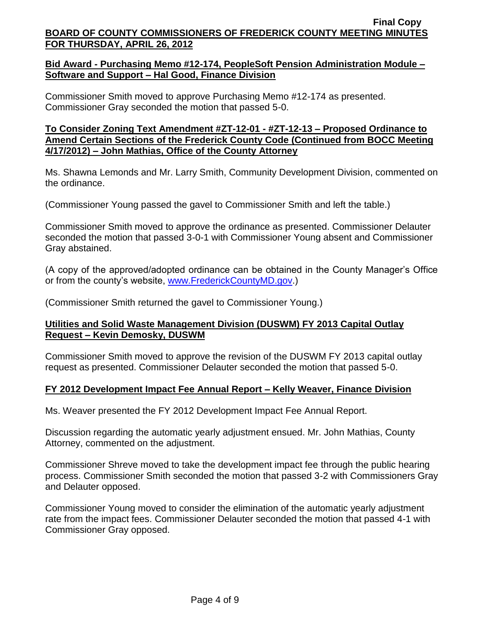# **Bid Award - Purchasing Memo #12-174, PeopleSoft Pension Administration Module – Software and Support – Hal Good, Finance Division**

Commissioner Smith moved to approve Purchasing Memo #12-174 as presented. Commissioner Gray seconded the motion that passed 5-0.

# **To Consider Zoning Text Amendment #ZT-12-01 - #ZT-12-13 – Proposed Ordinance to Amend Certain Sections of the Frederick County Code (Continued from BOCC Meeting 4/17/2012) – John Mathias, Office of the County Attorney**

Ms. Shawna Lemonds and Mr. Larry Smith, Community Development Division, commented on the ordinance.

(Commissioner Young passed the gavel to Commissioner Smith and left the table.)

Commissioner Smith moved to approve the ordinance as presented. Commissioner Delauter seconded the motion that passed 3-0-1 with Commissioner Young absent and Commissioner Gray abstained.

(A copy of the approved/adopted ordinance can be obtained in the County Manager's Office or from the county's website, [www.FrederickCountyMD.gov.](http://www.frederickcountymd.gov/))

(Commissioner Smith returned the gavel to Commissioner Young.)

# **Utilities and Solid Waste Management Division (DUSWM) FY 2013 Capital Outlay Request – Kevin Demosky, DUSWM**

Commissioner Smith moved to approve the revision of the DUSWM FY 2013 capital outlay request as presented. Commissioner Delauter seconded the motion that passed 5-0.

# **FY 2012 Development Impact Fee Annual Report – Kelly Weaver, Finance Division**

Ms. Weaver presented the FY 2012 Development Impact Fee Annual Report.

Discussion regarding the automatic yearly adjustment ensued. Mr. John Mathias, County Attorney, commented on the adjustment.

Commissioner Shreve moved to take the development impact fee through the public hearing process. Commissioner Smith seconded the motion that passed 3-2 with Commissioners Gray and Delauter opposed.

Commissioner Young moved to consider the elimination of the automatic yearly adjustment rate from the impact fees. Commissioner Delauter seconded the motion that passed 4-1 with Commissioner Gray opposed.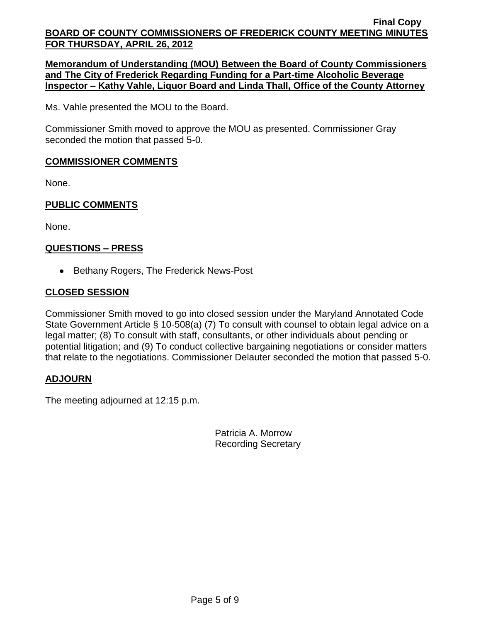**Memorandum of Understanding (MOU) Between the Board of County Commissioners and The City of Frederick Regarding Funding for a Part-time Alcoholic Beverage Inspector – Kathy Vahle, Liquor Board and Linda Thall, Office of the County Attorney**

Ms. Vahle presented the MOU to the Board.

Commissioner Smith moved to approve the MOU as presented. Commissioner Gray seconded the motion that passed 5-0.

# **COMMISSIONER COMMENTS**

None.

# **PUBLIC COMMENTS**

None.

# **QUESTIONS – PRESS**

• Bethany Rogers, The Frederick News-Post

# **CLOSED SESSION**

Commissioner Smith moved to go into closed session under the Maryland Annotated Code State Government Article § 10-508(a) (7) To consult with counsel to obtain legal advice on a legal matter; (8) To consult with staff, consultants, or other individuals about pending or potential litigation; and (9) To conduct collective bargaining negotiations or consider matters that relate to the negotiations. Commissioner Delauter seconded the motion that passed 5-0.

# **ADJOURN**

The meeting adjourned at 12:15 p.m.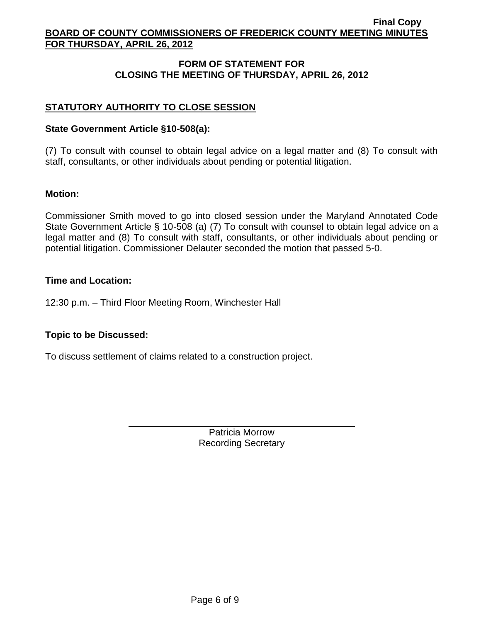# **FORM OF STATEMENT FOR CLOSING THE MEETING OF THURSDAY, APRIL 26, 2012**

# **STATUTORY AUTHORITY TO CLOSE SESSION**

## **State Government Article §10-508(a):**

(7) To consult with counsel to obtain legal advice on a legal matter and (8) To consult with staff, consultants, or other individuals about pending or potential litigation.

### **Motion:**

Commissioner Smith moved to go into closed session under the Maryland Annotated Code State Government Article § 10-508 (a) (7) To consult with counsel to obtain legal advice on a legal matter and (8) To consult with staff, consultants, or other individuals about pending or potential litigation. Commissioner Delauter seconded the motion that passed 5-0.

### **Time and Location:**

12:30 p.m. – Third Floor Meeting Room, Winchester Hall

# **Topic to be Discussed:**

To discuss settlement of claims related to a construction project.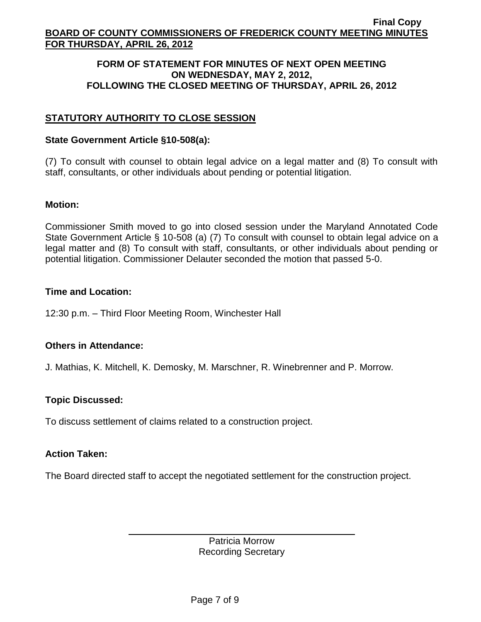## **FORM OF STATEMENT FOR MINUTES OF NEXT OPEN MEETING ON WEDNESDAY, MAY 2, 2012, FOLLOWING THE CLOSED MEETING OF THURSDAY, APRIL 26, 2012**

# **STATUTORY AUTHORITY TO CLOSE SESSION**

### **State Government Article §10-508(a):**

(7) To consult with counsel to obtain legal advice on a legal matter and (8) To consult with staff, consultants, or other individuals about pending or potential litigation.

### **Motion:**

Commissioner Smith moved to go into closed session under the Maryland Annotated Code State Government Article § 10-508 (a) (7) To consult with counsel to obtain legal advice on a legal matter and (8) To consult with staff, consultants, or other individuals about pending or potential litigation. Commissioner Delauter seconded the motion that passed 5-0.

### **Time and Location:**

12:30 p.m. – Third Floor Meeting Room, Winchester Hall

# **Others in Attendance:**

J. Mathias, K. Mitchell, K. Demosky, M. Marschner, R. Winebrenner and P. Morrow.

# **Topic Discussed:**

To discuss settlement of claims related to a construction project.

# **Action Taken:**

The Board directed staff to accept the negotiated settlement for the construction project.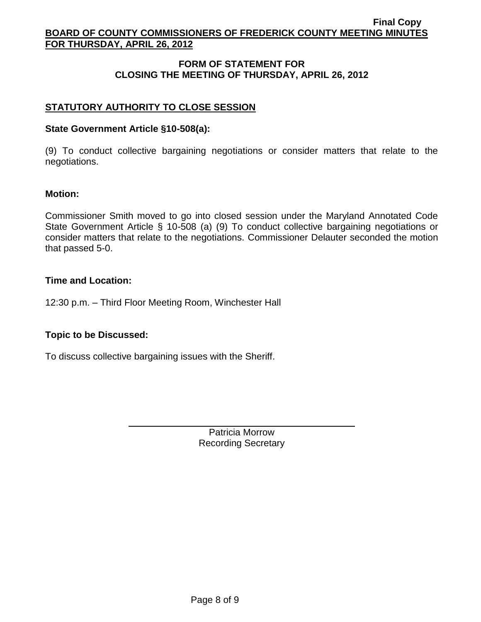# **FORM OF STATEMENT FOR CLOSING THE MEETING OF THURSDAY, APRIL 26, 2012**

# **STATUTORY AUTHORITY TO CLOSE SESSION**

## **State Government Article §10-508(a):**

(9) To conduct collective bargaining negotiations or consider matters that relate to the negotiations.

### **Motion:**

Commissioner Smith moved to go into closed session under the Maryland Annotated Code State Government Article § 10-508 (a) (9) To conduct collective bargaining negotiations or consider matters that relate to the negotiations. Commissioner Delauter seconded the motion that passed 5-0.

### **Time and Location:**

12:30 p.m. – Third Floor Meeting Room, Winchester Hall

# **Topic to be Discussed:**

To discuss collective bargaining issues with the Sheriff.